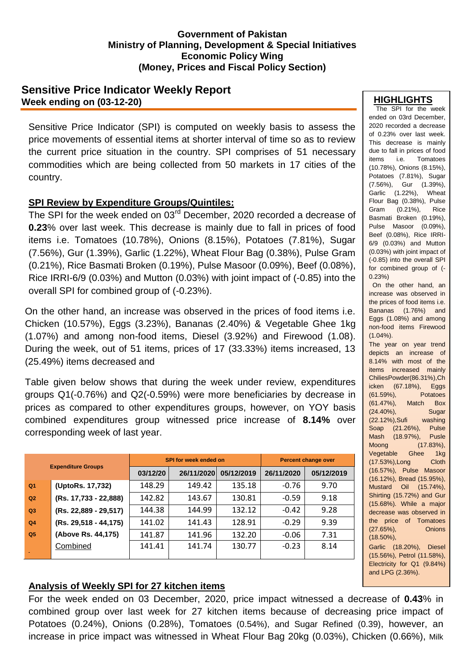### **Government of Pakistan Ministry of Planning, Development & Special Initiatives Economic Policy Wing (Money, Prices and Fiscal Policy Section)**

## **Sensitive Price Indicator Weekly Report Week ending on (03-12-20)**

Sensitive Price Indicator (SPI) is computed on weekly basis to assess the price movements of essential items at shorter interval of time so as to review the current price situation in the country. SPI comprises of 51 necessary commodities which are being collected from 50 markets in 17 cities of the country.

## **SPI Review by Expenditure Groups/Quintiles:**

The SPI for the week ended on 03<sup>rd</sup> December, 2020 recorded a decrease of **0.23**% over last week. This decrease is mainly due to fall in prices of food items i.e. Tomatoes (10.78%), Onions (8.15%), Potatoes (7.81%), Sugar (7.56%), Gur (1.39%), Garlic (1.22%), Wheat Flour Bag (0.38%), Pulse Gram (0.21%), Rice Basmati Broken (0.19%), Pulse Masoor (0.09%), Beef (0.08%), Rice IRRI-6/9 (0.03%) and Mutton (0.03%) with joint impact of (-0.85) into the overall SPI for combined group of (-0.23%).

On the other hand, an increase was observed in the prices of food items i.e. Chicken (10.57%), Eggs (3.23%), Bananas (2.40%) & Vegetable Ghee 1kg (1.07%) and among non-food items, Diesel (3.92%) and Firewood (1.08). During the week, out of 51 items, prices of 17 (33.33%) items increased, 13 (25.49%) items decreased and

Table given below shows that during the week under review, expenditures groups Q1(-0.76%) and Q2(-0.59%) were more beneficiaries by decrease in prices as compared to other expenditures groups, however, on YOY basis combined expenditures group witnessed price increase of **8.14%** over corresponding week of last year.

| <b>Expenditure Groups</b> |                         |          | SPI for week ended on | <b>Percent change over</b> |            |            |  |
|---------------------------|-------------------------|----------|-----------------------|----------------------------|------------|------------|--|
|                           |                         | 03/12/20 | 26/11/2020            | 05/12/2019                 | 26/11/2020 | 05/12/2019 |  |
| Q <sub>1</sub>            | (UptoRs. 17,732)        | 148.29   | 149.42                | 135.18                     | $-0.76$    | 9.70       |  |
| Q2                        | (Rs. 17,733 - 22,888)   | 142.82   | 143.67                | 130.81                     | $-0.59$    | 9.18       |  |
| Q3                        | (Rs. 22,889 - 29,517)   | 144.38   | 144.99                | 132.12                     | $-0.42$    | 9.28       |  |
| Q <sub>4</sub>            | $(Rs. 29,518 - 44,175)$ | 141.02   | 141.43                | 128.91                     | $-0.29$    | 9.39       |  |
| Q <sub>5</sub>            | (Above Rs. 44,175)      | 141.87   | 141.96                | 132.20                     | $-0.06$    | 7.31       |  |
|                           | Combined                | 141.41   | 141.74                | 130.77                     | $-0.23$    | 8.14       |  |

#### **HIGHLIGHTS**

The SPI for the week ended on 03rd December, 2020 recorded a decrease of 0.23% over last week. This decrease is mainly due to fall in prices of food items i.e. Tomatoes (10.78%), Onions (8.15%), Potatoes (7.81%), Sugar (7.56%), Gur (1.39%), Garlic (1.22%), Wheat Flour Bag (0.38%), Pulse Gram (0.21%), Rice Basmati Broken (0.19%), Pulse Masoor (0.09%), Beef (0.08%), Rice IRRI-6/9 (0.03%) and Mutton (0.03%) with joint impact of (-0.85) into the overall SPI for combined group of (- 0.23%) On the other hand, an increase was observed in the prices of food items i.e. Bananas (1.76%) and Eggs (1.08%) and among non-food items Firewood (1.04%). The year on year trend depicts an increase of 8.14% with most of the items increased mainly ChiliesPowder(86.31%),Ch icken (67.18%), Eggs (61.59%), Potatoes (61.47%), Match Box (24.40%), Sugar (22.12%),Sufi washing Soap (21.26%), Pulse Mash (18.97%), Pusle Moong (17.83%), Vegetable Ghee 1kg (17.53%),Long Cloth (16.57%), Pulse Masoor (16.12%), Bread (15.95%), Mustard Oil (15.74%), Shirting (15.72%) and Gur (15.68%). While a major decrease was observed in the price of Tomatoes (27.65%), Onions (18.50%), Garlic (18.20%), Diesel (15.56%), Petrol (11.58%),

Electricity for Q1 (9.84%) and LPG (2.36%).

# **Analysis of Weekly SPI for 27 kitchen items**

For the week ended on 03 December, 2020, price impact witnessed a decrease of **0.43**% in combined group over last week for 27 kitchen items because of decreasing price impact of Potatoes (0.24%), Onions (0.28%), Tomatoes (0.54%), and Sugar Refined (0.39), however, an increase in price impact was witnessed in Wheat Flour Bag 20kg (0.03%), Chicken (0.66%), Milk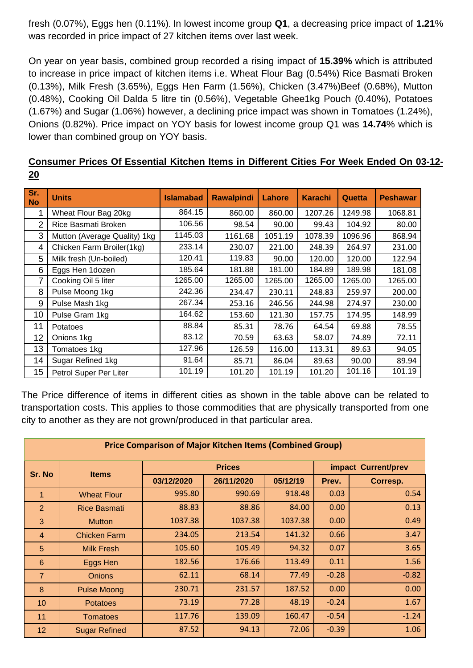fresh (0.07%), Eggs hen (0.11%). In lowest income group **Q1**, a decreasing price impact of **1.21**% was recorded in price impact of 27 kitchen items over last week.

On year on year basis, combined group recorded a rising impact of **15.39%** which is attributed to increase in price impact of kitchen items i.e. Wheat Flour Bag (0.54%) Rice Basmati Broken (0.13%), Milk Fresh (3.65%), Eggs Hen Farm (1.56%), Chicken (3.47%)Beef (0.68%), Mutton (0.48%), Cooking Oil Dalda 5 litre tin (0.56%), Vegetable Ghee1kg Pouch (0.40%), Potatoes (1.67%) and Sugar (1.06%) however, a declining price impact was shown in Tomatoes (1.24%), Onions (0.82%). Price impact on YOY basis for lowest income group Q1 was **14.74**% which is lower than combined group on YOY basis.

| Consumer Prices Of Essential Kitchen Items in Different Cities For Week Ended On 03-12- |  |  |  |  |  |  |  |
|-----------------------------------------------------------------------------------------|--|--|--|--|--|--|--|
| 20                                                                                      |  |  |  |  |  |  |  |

| Sr.<br><b>No</b> | <b>Units</b>                 | <b>Islamabad</b> | <b>Rawalpindi</b> | Lahore  | <b>Karachi</b> | Quetta  | <b>Peshawar</b> |
|------------------|------------------------------|------------------|-------------------|---------|----------------|---------|-----------------|
| 1                | Wheat Flour Bag 20kg         | 864.15           | 860.00            | 860.00  | 1207.26        | 1249.98 | 1068.81         |
| $\overline{2}$   | Rice Basmati Broken          | 106.56           | 98.54             | 90.00   | 99.43          | 104.92  | 80.00           |
| 3                | Mutton (Average Quality) 1kg | 1145.03          | 1161.68           | 1051.19 | 1078.39        | 1096.96 | 868.94          |
| 4                | Chicken Farm Broiler(1kg)    | 233.14           | 230.07            | 221.00  | 248.39         | 264.97  | 231.00          |
| 5                | Milk fresh (Un-boiled)       | 120.41           | 119.83            | 90.00   | 120.00         | 120.00  | 122.94          |
| 6                | Eggs Hen 1dozen              | 185.64           | 181.88            | 181.00  | 184.89         | 189.98  | 181.08          |
| 7                | Cooking Oil 5 liter          | 1265.00          | 1265.00           | 1265.00 | 1265.00        | 1265.00 | 1265.00         |
| 8                | Pulse Moong 1kg              | 242.36           | 234.47            | 230.11  | 248.83         | 259.97  | 200.00          |
| 9                | Pulse Mash 1kg               | 267.34           | 253.16            | 246.56  | 244.98         | 274.97  | 230.00          |
| 10               | Pulse Gram 1kg               | 164.62           | 153.60            | 121.30  | 157.75         | 174.95  | 148.99          |
| 11               | Potatoes                     | 88.84            | 85.31             | 78.76   | 64.54          | 69.88   | 78.55           |
| 12               | Onions 1kg                   | 83.12            | 70.59             | 63.63   | 58.07          | 74.89   | 72.11           |
| 13               | Tomatoes 1kg                 | 127.96           | 126.59            | 116.00  | 113.31         | 89.63   | 94.05           |
| 14               | Sugar Refined 1kg            | 91.64            | 85.71             | 86.04   | 89.63          | 90.00   | 89.94           |
| 15               | Petrol Super Per Liter       | 101.19           | 101.20            | 101.19  | 101.20         | 101.16  | 101.19          |

The Price difference of items in different cities as shown in the table above can be related to transportation costs. This applies to those commodities that are physically transported from one city to another as they are not grown/produced in that particular area.

| <b>Price Comparison of Major Kitchen Items (Combined Group)</b> |                      |            |               |                     |         |          |  |  |  |
|-----------------------------------------------------------------|----------------------|------------|---------------|---------------------|---------|----------|--|--|--|
| Sr. No                                                          | <b>Items</b>         |            | <b>Prices</b> | impact Current/prev |         |          |  |  |  |
|                                                                 |                      | 03/12/2020 | 26/11/2020    | 05/12/19            | Prev.   | Corresp. |  |  |  |
| 1                                                               | <b>Wheat Flour</b>   | 995.80     | 990.69        | 918.48              | 0.03    | 0.54     |  |  |  |
| $\overline{2}$                                                  | <b>Rice Basmati</b>  | 88.83      | 88.86         | 84.00               | 0.00    | 0.13     |  |  |  |
| 3                                                               | <b>Mutton</b>        | 1037.38    | 1037.38       | 1037.38             | 0.00    | 0.49     |  |  |  |
| $\overline{4}$                                                  | <b>Chicken Farm</b>  | 234.05     | 213.54        | 141.32              | 0.66    | 3.47     |  |  |  |
| 5                                                               | <b>Milk Fresh</b>    | 105.60     | 105.49        | 94.32               | 0.07    | 3.65     |  |  |  |
| 6                                                               | Eggs Hen             | 182.56     | 176.66        | 113.49              | 0.11    | 1.56     |  |  |  |
| $\overline{7}$                                                  | <b>Onions</b>        | 62.11      | 68.14         | 77.49               | $-0.28$ | $-0.82$  |  |  |  |
| 8                                                               | <b>Pulse Moong</b>   | 230.71     | 231.57        | 187.52              | 0.00    | 0.00     |  |  |  |
| 10                                                              | <b>Potatoes</b>      | 73.19      | 77.28         | 48.19               | $-0.24$ | 1.67     |  |  |  |
| 11                                                              | <b>Tomatoes</b>      | 117.76     | 139.09        | 160.47              | $-0.54$ | $-1.24$  |  |  |  |
| 12                                                              | <b>Sugar Refined</b> | 87.52      | 94.13         | 72.06               | $-0.39$ | 1.06     |  |  |  |